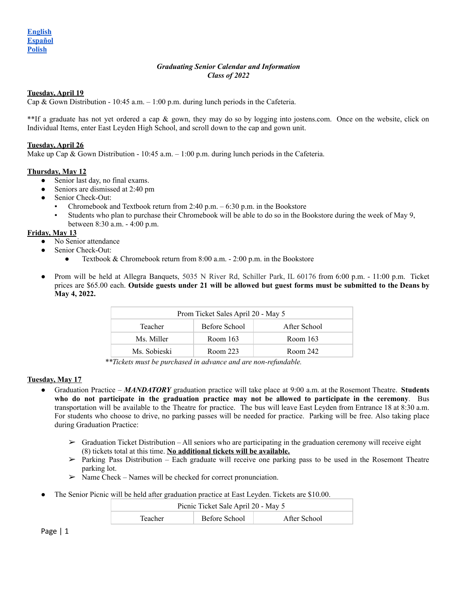# *Graduating Senior Calendar and Information Class of 2022*

# <span id="page-0-0"></span>**Tuesday, April 19**

Cap & Gown Distribution - 10:45 a.m.  $-1:00$  p.m. during lunch periods in the Cafeteria.

\*\*If a graduate has not yet ordered a cap & gown, they may do so by logging into jostens.com. Once on the website, click on Individual Items, enter East Leyden High School, and scroll down to the cap and gown unit.

### **Tuesday, April 26**

Make up Cap & Gown Distribution - 10:45 a.m. – 1:00 p.m. during lunch periods in the Cafeteria.

### **Thursday, May 12**

- Senior last day, no final exams.
- Seniors are dismissed at 2:40 pm
- Senior Check-Out:
	- Chromebook and Textbook return from 2:40 p.m.  $-6:30$  p.m. in the Bookstore
	- Students who plan to purchase their Chromebook will be able to do so in the Bookstore during the week of May 9, between 8:30 a.m. - 4:00 p.m.

#### **Friday, May 13**

- No Senior attendance
- Senior Check-Out:
	- Textbook & Chromebook return from 8:00 a.m. 2:00 p.m. in the Bookstore
- Prom will be held at Allegra Banquets, 5035 N River Rd, Schiller Park, IL 60176 from 6:00 p.m. 11:00 p.m. Ticket prices are \$65.00 each. Outside guests under 21 will be allowed but guest forms must be submitted to the Deans by **May 4, 2022.**

| Prom Ticket Sales April 20 - May 5 |               |              |  |
|------------------------------------|---------------|--------------|--|
| Teacher                            | Before School | After School |  |
| Ms. Miller                         | Room $163$    | Room 163     |  |
| Ms. Sobieski                       | Room 223      | Room 242     |  |

*\*\*Tickets must be purchased in advance and are non-refundable.*

# **Tuesday, May 17**

- Graduation Practice *MANDATORY* graduation practice will take place at 9:00 a.m. at the Rosemont Theatre. **Students who do not participate in the graduation practice may not be allowed to participate in the ceremony**. Bus transportation will be available to the Theatre for practice. The bus will leave East Leyden from Entrance 18 at 8:30 a.m. For students who choose to drive, no parking passes will be needed for practice. Parking will be free. Also taking place during Graduation Practice:
	- $\triangleright$  Graduation Ticket Distribution All seniors who are participating in the graduation ceremony will receive eight (8) tickets total at this time. **No additional tickets will be available.**
	- $\triangleright$  Parking Pass Distribution Each graduate will receive one parking pass to be used in the Rosemont Theatre parking lot.
	- $\triangleright$  Name Check Names will be checked for correct pronunciation.
- The Senior Picnic will be held after graduation practice at East Leyden. Tickets are \$10.00.

| Picnic Ticket Sale April 20 - May 5 |               |              |
|-------------------------------------|---------------|--------------|
| Teacher                             | Before School | After School |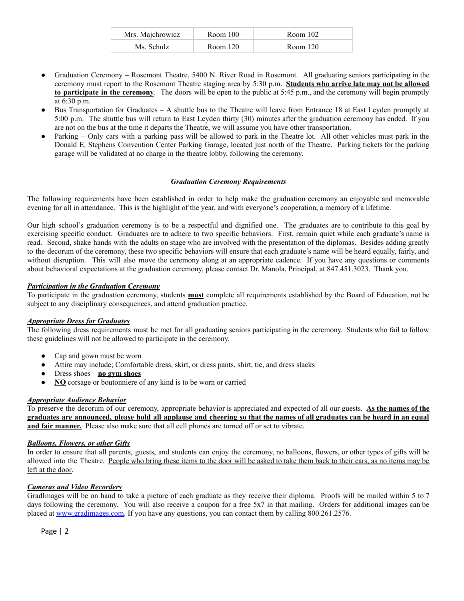| Mrs. Majchrowicz | Room 100 | Room 102 |
|------------------|----------|----------|
| Ms. Schulz       | Room 120 | Room 120 |

- Graduation Ceremony Rosemont Theatre, 5400 N. River Road in Rosemont. All graduating seniors participating in the ceremony must report to the Rosemont Theatre staging area by 5:30 p.m. **Students who arrive late may not be allowed to participate in the ceremony**. The doors will be open to the public at 5:45 p.m., and the ceremony will begin promptly at 6:30 p.m.
- Bus Transportation for Graduates A shuttle bus to the Theatre will leave from Entrance 18 at East Leyden promptly at 5:00 p.m. The shuttle bus will return to East Leyden thirty (30) minutes after the graduation ceremony has ended. If you are not on the bus at the time it departs the Theatre, we will assume you have other transportation.
- Parking Only cars with a parking pass will be allowed to park in the Theatre lot. All other vehicles must park in the Donald E. Stephens Convention Center Parking Garage, located just north of the Theatre. Parking tickets for the parking garage will be validated at no charge in the theatre lobby, following the ceremony.

# *Graduation Ceremony Requirements*

The following requirements have been established in order to help make the graduation ceremony an enjoyable and memorable evening for all in attendance. This is the highlight of the year, and with everyone's cooperation, a memory of a lifetime.

Our high school's graduation ceremony is to be a respectful and dignified one. The graduates are to contribute to this goal by exercising specific conduct. Graduates are to adhere to two specific behaviors. First, remain quiet while each graduate's name is read. Second, shake hands with the adults on stage who are involved with the presentation of the diplomas. Besides adding greatly to the decorum of the ceremony, these two specific behaviors will ensure that each graduate's name will be heard equally, fairly, and without disruption. This will also move the ceremony along at an appropriate cadence. If you have any questions or comments about behavioral expectations at the graduation ceremony, please contact Dr. Manola, Principal, at 847.451.3023. Thank you.

# *Participation in the Graduation Ceremony*

To participate in the graduation ceremony, students **must** complete all requirements established by the Board of Education, not be subject to any disciplinary consequences, and attend graduation practice.

# *Appropriate Dress for Graduates*

The following dress requirements must be met for all graduating seniors participating in the ceremony. Students who fail to follow these guidelines will not be allowed to participate in the ceremony.

- Cap and gown must be worn
- Attire may include; Comfortable dress, skirt, or dress pants, shirt, tie, and dress slacks
- Dress shoes **no gym shoes**
- **NO** corsage or boutonniere of any kind is to be worn or carried

# *Appropriate Audience Behavior*

To preserve the decorum of our ceremony, appropriate behavior is appreciated and expected of all our guests. **As the names of the** graduates are announced, please hold all applause and cheering so that the names of all graduates can be heard in an equal **and fair manner.** Please also make sure that all cell phones are turned off or set to vibrate.

# *Balloons, Flowers, or other Gifts*

In order to ensure that all parents, guests, and students can enjoy the ceremony, no balloons, flowers, or other types of gifts will be allowed into the Theatre. People who bring these items to the door will be asked to take them back to their cars, as no items may be left at the door.

# *Cameras and Video Recorders*

GradImages will be on hand to take a picture of each graduate as they receive their diploma. Proofs will be mailed within 5 to 7 days following the ceremony. You will also receive a coupon for a free 5x7 in that mailing. Orders for additional images can be placed at [www.gradimages.com.](http://www.gradimages.com) If you have any questions, you can contact them by calling 800.261.2576.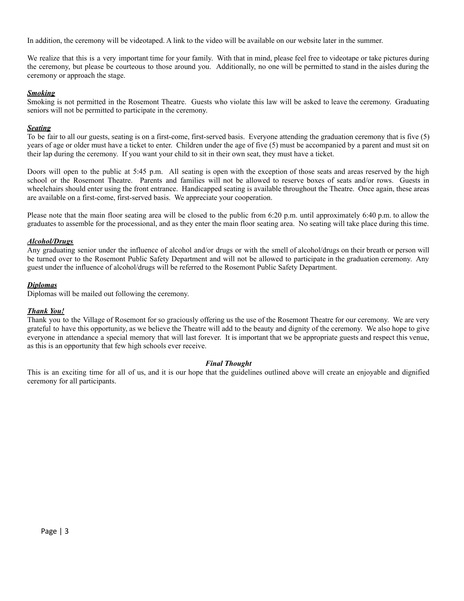In addition, the ceremony will be videotaped. A link to the video will be available on our website later in the summer.

We realize that this is a very important time for your family. With that in mind, please feel free to videotape or take pictures during the ceremony, but please be courteous to those around you. Additionally, no one will be permitted to stand in the aisles during the ceremony or approach the stage.

# *Smoking*

Smoking is not permitted in the Rosemont Theatre. Guests who violate this law will be asked to leave the ceremony. Graduating seniors will not be permitted to participate in the ceremony.

# *Seating*

To be fair to all our guests, seating is on a first-come, first-served basis. Everyone attending the graduation ceremony that is five (5) years of age or older must have a ticket to enter. Children under the age of five (5) must be accompanied by a parent and must sit on their lap during the ceremony. If you want your child to sit in their own seat, they must have a ticket.

Doors will open to the public at 5:45 p.m. All seating is open with the exception of those seats and areas reserved by the high school or the Rosemont Theatre. Parents and families will not be allowed to reserve boxes of seats and/or rows. Guests in wheelchairs should enter using the front entrance. Handicapped seating is available throughout the Theatre. Once again, these areas are available on a first-come, first-served basis. We appreciate your cooperation.

Please note that the main floor seating area will be closed to the public from 6:20 p.m. until approximately 6:40 p.m. to allow the graduates to assemble for the processional, and as they enter the main floor seating area. No seating will take place during this time.

# *Alcohol/Drugs*

Any graduating senior under the influence of alcohol and/or drugs or with the smell of alcohol/drugs on their breath or person will be turned over to the Rosemont Public Safety Department and will not be allowed to participate in the graduation ceremony. Any guest under the influence of alcohol/drugs will be referred to the Rosemont Public Safety Department.

# *Diplomas*

Diplomas will be mailed out following the ceremony.

# *Thank You!*

Thank you to the Village of Rosemont for so graciously offering us the use of the Rosemont Theatre for our ceremony. We are very grateful to have this opportunity, as we believe the Theatre will add to the beauty and dignity of the ceremony. We also hope to give everyone in attendance a special memory that will last forever. It is important that we be appropriate guests and respect this venue, as this is an opportunity that few high schools ever receive.

# *Final Thought*

This is an exciting time for all of us, and it is our hope that the guidelines outlined above will create an enjoyable and dignified ceremony for all participants.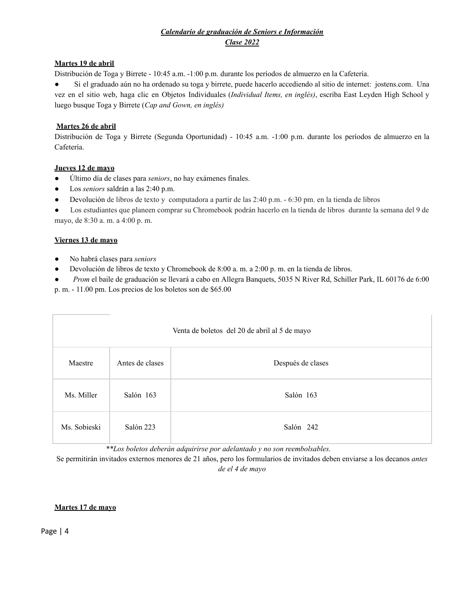# *Calendario de graduación de Seniors e Información Clase 2022*

# <span id="page-3-0"></span>**Martes 19 de abril**

Distribución de Toga y Birrete - 10:45 a.m. -1:00 p.m. durante los períodos de almuerzo en la Cafetería.

● Si el graduado aún no ha ordenado su toga y birrete, puede hacerlo accediendo al sitio de internet: jostens.com. Una vez en el sitio web, haga clic en Objetos Individuales (*Individual Items, en inglés)*, escriba East Leyden High School y luego busque Toga y Birrete (*Cap and Gown, en inglés)*

# **Martes 26 de abril**

Distribución de Toga y Birrete (Segunda Oportunidad) - 10:45 a.m. -1:00 p.m. durante los períodos de almuerzo en la Cafetería.

# **Jueves 12 de mayo**

- Último día de clases para *seniors*, no hay exámenes finales.
- Los *seniors* saldrán a las 2:40 p.m.
- Devolución de libros de texto y computadora a partir de las 2:40 p.m. 6:30 pm. en la tienda de libros

● Los estudiantes que planeen comprar su Chromebook podrán hacerlo en la tienda de libros durante la semana del 9 de mayo, de 8:30 a. m. a 4:00 p. m.

# **Viernes 13 de mayo**

- No habrá clases para *seniors*
- Devolución de libros de texto y Chromebook de 8:00 a. m. a 2:00 p. m. en la tienda de libros.

● *Prom* el baile de graduación se llevará a cabo en Allegra Banquets, 5035 N River Rd, Schiller Park, IL 60176 de 6:00 p. m. - 11.00 pm. Los precios de los boletos son de \$65.00

| Venta de boletos del 20 de abril al 5 de mayo |                 |                   |
|-----------------------------------------------|-----------------|-------------------|
| Maestre                                       | Antes de clases | Después de clases |
| Ms. Miller                                    | Salón 163       | Salón 163         |
| Ms. Sobieski                                  | Salón 223       | Salón 242         |

*\*\*Los boletos deberán adquirirse por adelantado y no son reembolsables.*

Se permitirán invitados externos menores de 21 años, pero los formularios de invitados deben enviarse a los decanos *antes de el 4 de mayo*

# **Martes 17 de mayo**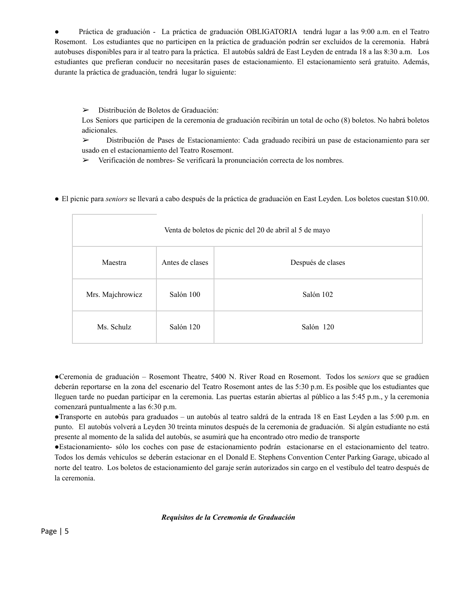● Práctica de graduación - La práctica de graduación OBLIGATORIA tendrá lugar a las 9:00 a.m. en el Teatro Rosemont. Los estudiantes que no participen en la práctica de graduación podrán ser excluidos de la ceremonia. Habrá autobuses disponibles para ir al teatro para la práctica. El autobús saldrá de East Leyden de entrada 18 a las 8:30 a.m. Los estudiantes que prefieran conducir no necesitarán pases de estacionamiento. El estacionamiento será gratuito. Además, durante la práctica de graduación, tendrá lugar lo siguiente:

➢ Distribución de Boletos de Graduación:

Los Seniors que participen de la ceremonia de graduación recibirán un total de ocho (8) boletos. No habrá boletos adicionales.

➢ Distribución de Pases de Estacionamiento: Cada graduado recibirá un pase de estacionamiento para ser usado en el estacionamiento del Teatro Rosemont.

 $\triangleright$  Verificación de nombres- Se verificará la pronunciación correcta de los nombres.

● El picnic para *seniors* se llevará a cabo después de la práctica de graduación en East Leyden. Los boletos cuestan \$10.00.

| Venta de boletos de picnic del 20 de abril al 5 de mayo |                 |                   |
|---------------------------------------------------------|-----------------|-------------------|
| Maestra                                                 | Antes de clases | Después de clases |
| Mrs. Majchrowicz                                        | Salón 100       | Salón 102         |
| Ms. Schulz                                              | Salón 120       | Salón 120         |

●Ceremonia de graduación – Rosemont Theatre, 5400 N. River Road en Rosemont. Todos los s*eniors* que se gradúen deberán reportarse en la zona del escenario del Teatro Rosemont antes de las 5:30 p.m. Es posible que los estudiantes que lleguen tarde no puedan participar en la ceremonia. Las puertas estarán abiertas al público a las 5:45 p.m., y la ceremonia comenzará puntualmente a las 6:30 p.m.

●Transporte en autobús para graduados – un autobús al teatro saldrá de la entrada 18 en East Leyden a las 5:00 p.m. en punto. El autobús volverá a Leyden 30 treinta minutos después de la ceremonia de graduación. Si algún estudiante no está presente al momento de la salida del autobús, se asumirá que ha encontrado otro medio de transporte

●Estacionamiento- sólo los coches con pase de estacionamiento podrán estacionarse en el estacionamiento del teatro. Todos los demás vehículos se deberán estacionar en el Donald E. Stephens Convention Center Parking Garage, ubicado al norte del teatro. Los boletos de estacionamiento del garaje serán autorizados sin cargo en el vestíbulo del teatro después de la ceremonia.

# *Requisitos de la Ceremonia de Graduación*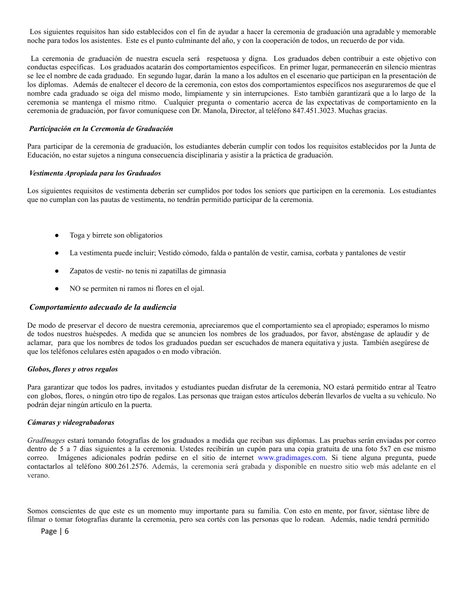Los siguientes requisitos han sido establecidos con el fin de ayudar a hacer la ceremonia de graduación una agradable y memorable noche para todos los asistentes. Este es el punto culminante del año, y con la cooperación de todos, un recuerdo de por vida.

La ceremonia de graduación de nuestra escuela será respetuosa y digna. Los graduados deben contribuir a este objetivo con conductas específicas. Los graduados acatarán dos comportamientos específicos. En primer lugar, permanecerán en silencio mientras se lee el nombre de cada graduado. En segundo lugar, darán la mano a los adultos en el escenario que participan en la presentación de los diplomas. Además de enaltecer el decoro de la ceremonia, con estos dos comportamientos específicos nos aseguraremos de que el nombre cada graduado se oiga del mismo modo, limpiamente y sin interrupciones. Esto también garantizará que a lo largo de la ceremonia se mantenga el mismo ritmo. Cualquier pregunta o comentario acerca de las expectativas de comportamiento en la ceremonia de graduación, por favor comuníquese con Dr. Manola, Director, al teléfono 847.451.3023. Muchas gracias.

#### *Participación en la Ceremonia de Graduación*

Para participar de la ceremonia de graduación, los estudiantes deberán cumplir con todos los requisitos establecidos por la Junta de Educación, no estar sujetos a ninguna consecuencia disciplinaria y asistir a la práctica de graduación.

#### *Vestimenta Apropiada para los Graduados*

Los siguientes requisitos de vestimenta deberán ser cumplidos por todos los seniors que participen en la ceremonia. Los estudiantes que no cumplan con las pautas de vestimenta, no tendrán permitido participar de la ceremonia.

- Toga y birrete son obligatorios
- La vestimenta puede incluir; Vestido cómodo, falda o pantalón de vestir, camisa, corbata y pantalones de vestir
- Zapatos de vestir- no tenis ni zapatillas de gimnasia
- NO se permiten ni ramos ni flores en el ojal.

#### *Comportamiento adecuado de la audiencia*

De modo de preservar el decoro de nuestra ceremonia, apreciaremos que el comportamiento sea el apropiado; esperamos lo mismo de todos nuestros huéspedes. A medida que se anuncien los nombres de los graduados, por favor, absténgase de aplaudir y de aclamar, para que los nombres de todos los graduados puedan ser escuchados de manera equitativa y justa. También asegúrese de que los teléfonos celulares estén apagados o en modo vibración.

#### *Globos, flores y otros regalos*

Para garantizar que todos los padres, invitados y estudiantes puedan disfrutar de la ceremonia, NO estará permitido entrar al Teatro con globos, flores, o ningún otro tipo de regalos. Las personas que traigan estos artículos deberán llevarlos de vuelta a su vehículo. No podrán dejar ningún artículo en la puerta.

#### *Cámaras y videograbadoras*

*GradImages* estará tomando fotografías de los graduados a medida que reciban sus diplomas. Las pruebas serán enviadas por correo dentro de 5 a 7 días siguientes a la ceremonia. Ustedes recibirán un cupón para una copia gratuita de una foto 5x7 en ese mismo correo. Imágenes adicionales podrán pedirse en el sitio de internet [www.gradimages.com.](http://www.gradimages.com/) Si tiene alguna pregunta, puede contactarlos al teléfono 800.261.2576. Además, la ceremonia será grabada y disponible en nuestro sitio web más adelante en el verano.

Somos conscientes de que este es un momento muy importante para su familia. Con esto en mente, por favor, siéntase libre de filmar o tomar fotografías durante la ceremonia, pero sea cortés con las personas que lo rodean. Además, nadie tendrá permitido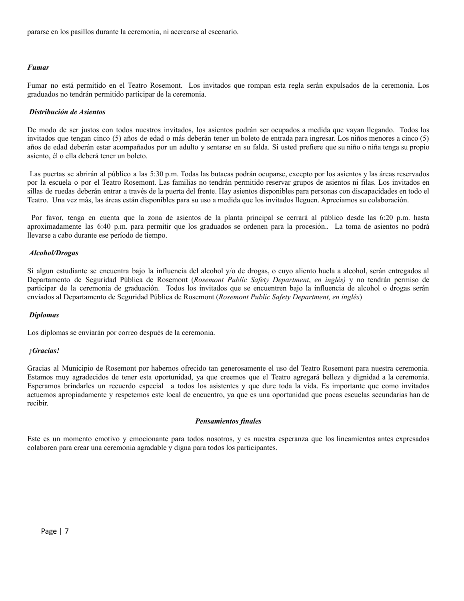pararse en los pasillos durante la ceremonia, ni acercarse al escenario.

### *Fumar*

Fumar no está permitido en el Teatro Rosemont. Los invitados que rompan esta regla serán expulsados de la ceremonia. Los graduados no tendrán permitido participar de la ceremonia.

#### *Distribución de Asientos*

De modo de ser justos con todos nuestros invitados, los asientos podrán ser ocupados a medida que vayan llegando. Todos los invitados que tengan cinco (5) años de edad o más deberán tener un boleto de entrada para ingresar. Los niños menores a cinco (5) años de edad deberán estar acompañados por un adulto y sentarse en su falda. Si usted prefiere que su niño o niña tenga su propio asiento, él o ella deberá tener un boleto.

Las puertas se abrirán al público a las 5:30 p.m. Todas las butacas podrán ocuparse, excepto por los asientos y las áreas reservados por la escuela o por el Teatro Rosemont. Las familias no tendrán permitido reservar grupos de asientos ni filas. Los invitados en sillas de ruedas deberán entrar a través de la puerta del frente. Hay asientos disponibles para personas con discapacidades en todo el Teatro. Una vez más, las áreas están disponibles para su uso a medida que los invitados lleguen. Apreciamos su colaboración.

Por favor, tenga en cuenta que la zona de asientos de la planta principal se cerrará al público desde las 6:20 p.m. hasta aproximadamente las 6:40 p.m. para permitir que los graduados se ordenen para la procesión.. La toma de asientos no podrá llevarse a cabo durante ese período de tiempo.

### *Alcohol/Drogas*

Si algun estudiante se encuentra bajo la influencia del alcohol y/o de drogas, o cuyo aliento huela a alcohol, serán entregados al Departamento de Seguridad Pública de Rosemont (*Rosemont Public Safety Department*, *en inglés)* y no tendrán permiso de participar de la ceremonia de graduación. Todos los invitados que se encuentren bajo la influencia de alcohol o drogas serán enviados al Departamento de Seguridad Pública de Rosemont (*Rosemont Public Safety Department, en inglés*)

#### *Diplomas*

Los diplomas se enviarán por correo después de la ceremonia.

#### *¡Gracias!*

Gracias al Municipio de Rosemont por habernos ofrecido tan generosamente el uso del Teatro Rosemont para nuestra ceremonia. Estamos muy agradecidos de tener esta oportunidad, ya que creemos que el Teatro agregará belleza y dignidad a la ceremonia. Esperamos brindarles un recuerdo especial a todos los asistentes y que dure toda la vida. Es importante que como invitados actuemos apropiadamente y respetemos este local de encuentro, ya que es una oportunidad que pocas escuelas secundarias han de recibir.

#### *Pensamientos finales*

Este es un momento emotivo y emocionante para todos nosotros, y es nuestra esperanza que los lineamientos antes expresados colaboren para crear una ceremonia agradable y digna para todos los participantes.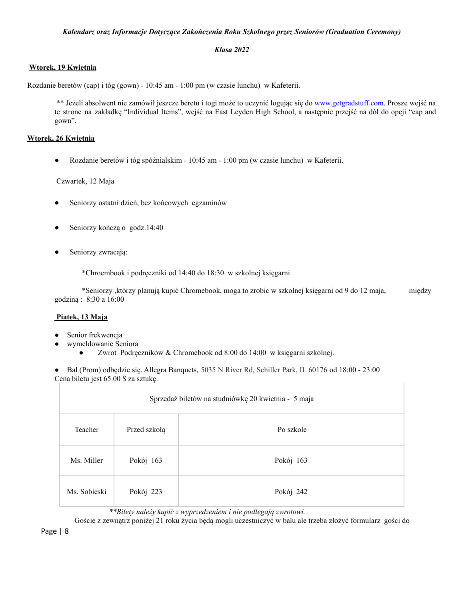# <span id="page-7-0"></span>*Kalendarz oraz Informacje Dotyczące Zakończenia Roku Szkolnego przez Seniorów (Graduation Ceremony)*

# *Klasa 2022*

# **Wtorek, 19 Kwietnia**

Rozdanie beretów (cap) i tóg (gown) - 10:45 am - 1:00 pm (w czasie lunchu) w Kafeterii.

\*\* Jeżeli absolwent nie zamówił jeszcze beretu i togi może to uczynić logując się do [www.getgradstuff.com](http://www.getgradstuff.com/). Prosze wejść na te strone na zakładkę "Individual Items", wejść na East Leyden High School, a następnie przejść na dół do opcji "cap and gown".

# **Wtorek, 26 Kwietnia**

● Rozdanie beretów i tóg spóźnialskim - 10:45 am - 1:00 pm (w czasie lunchu) w Kafeterii.

# Czwartek, 12 Maja

- Seniorzy ostatni dzień, bez końcowych egzaminów
- Seniorzy kończą o godz.14:40
- Seniorzy zwracają:

\*Chroembook i podręczniki od 14:40 do 18:30 w szkolnej księgarni

\*Seniorzy ,którzy planują kupić Chromebook, moga to zrobic w szkolnej księgarni od 9 do 12 maja, między godziną : 8:30 a 16:00

# **Piatek, 13 Maja**

- Senior frekwencja
- wymeldowanie Seniora
	- Zwrot Podręczników & Chromebook od 8:00 do 14:00 w księgarni szkolnej.

● Bal (Prom) odbędzie się. Allegra Banquets, 5035 N River Rd, Schiller Park, IL 60176 od 18:00 - 23:00 Cena biletu jest 65.00 \$ za sztukę.

| Sprzedaż biletów na studniówkę 20 kwietnia - 5 maja |              |           |
|-----------------------------------------------------|--------------|-----------|
| Teacher                                             | Przed szkołą | Po szkole |
| Ms. Miller                                          | Pokój 163    | Pokój 163 |
| Ms. Sobieski                                        | Pokój 223    | Pokój 242 |

*\*\*Bilety należy kupić z wyprzedzeniem i nie podlegają zwrotowi.*

Goście z zewnątrz poniżej 21 roku życia będą mogli uczestniczyć w balu ale trzeba złożyć formularz gości do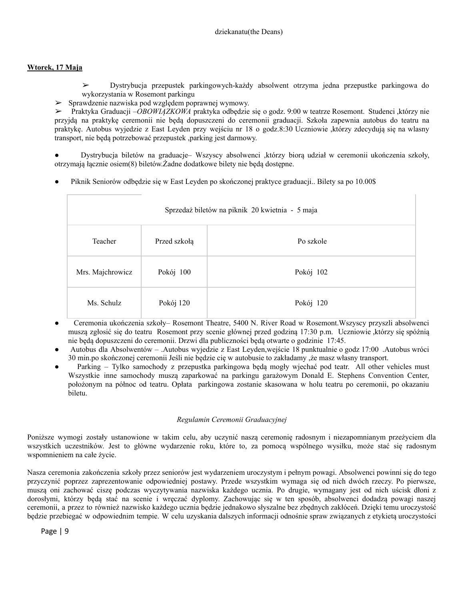# **Wtorek, 17 Maja**

➢ Dystrybucja przepustek parkingowych-każdy absolwent otrzyma jedna przepustke parkingowa do wykorzystania w Rosemont parkingu

➢ Sprawdzenie nazwiska pod względem poprawnej wymowy.

➢ Praktyka Graduacji –*OBOWIĄZKOWA* praktyka odbędzie się o godz. 9:00 w teatrze Rosemont. Studenci ,którzy nie przyjdą na praktykę ceremonii nie będą dopuszczeni do ceremonii graduacji. Szkoła zapewnia autobus do teatru na praktykę. Autobus wyjedzie z East Leyden przy wejściu nr 18 o godz.8:30 Uczniowie ,którzy zdecydują się na wlasny transport, nie będą potrzebować przepustek ,parking jest darmowy.

● Dystrybucja biletów na graduacje– Wszyscy absolwenci ,którzy biorą udział w ceremonii ukończenia szkoły, otrzymają łącznie osiem(8) biletów.Żadne dodatkowe bilety nie będą dostępne.

● Piknik Seniorów odbędzie się w East Leyden po skończonej praktyce graduacji.. Bilety sa po 10.00\$

| Sprzedaż biletów na piknik 20 kwietnia - 5 maja |              |           |
|-------------------------------------------------|--------------|-----------|
| Teacher                                         | Przed szkołą | Po szkole |
| Mrs. Majchrowicz                                | Pokój 100    | Pokój 102 |
| Ms. Schulz                                      | Pokój 120    | Pokój 120 |

- Ceremonia ukończenia szkoły– Rosemont Theatre, 5400 N. River Road w Rosemont.Wszyscy przyszli absolwenci muszą zgłosić się do teatru Rosemont przy scenie głównej przed godziną 17:30 p.m. Uczniowie ,którzy się spóźnią nie będą dopuszczeni do ceremonii. Drzwi dla publiczności będą otwarte o godzinie 17:45.
- Autobus dla Absolwentów .Autobus wyjedzie z East Leyden,wejście 18 punktualnie o godz 17:00 .Autobus wróci 30 min.po skończonej ceremonii Jeśli nie będzie cię w autobusie to zakładamy ,że masz własny transport.
- Parking Tylko samochody z przepustka parkingowa będą mogły wjechać pod teatr. All other vehicles must Wszystkie inne samochody muszą zaparkować na parkingu garażowym Donald E. Stephens Convention Center, położonym na północ od teatru. Opłata parkingowa zostanie skasowana w holu teatru po ceremonii, po okazaniu biletu.

# *Regulamin Ceremonii Graduacyjnej*

Poniższe wymogi zostały ustanowione w takim celu, aby uczynić naszą ceremonię radosnym i niezapomnianym przeżyciem dla wszystkich uczestników. Jest to główne wydarzenie roku, które to, za pomocą wspólnego wysiłku, może stać się radosnym wspomnieniem na całe życie.

Nasza ceremonia zakończenia szkoły przez seniorów jest wydarzeniem uroczystym i pełnym powagi. Absolwenci powinni się do tego przyczynić poprzez zaprezentowanie odpowiedniej postawy. Przede wszystkim wymaga się od nich dwóch rzeczy. Po pierwsze, muszą oni zachować ciszę podczas wyczytywania nazwiska każdego ucznia. Po drugie, wymagany jest od nich uścisk dłoni z dorosłymi, którzy będą stać na scenie i wręczać dyplomy. Zachowując się w ten sposób, absolwenci dodadzą powagi naszej ceremonii, a przez to również nazwisko każdego ucznia będzie jednakowo słyszalne bez zbędnych zakłóceń. Dzięki temu uroczystość będzie przebiegać w odpowiednim tempie. W celu uzyskania dalszych informacji odnośnie spraw związanych z etykietą uroczystości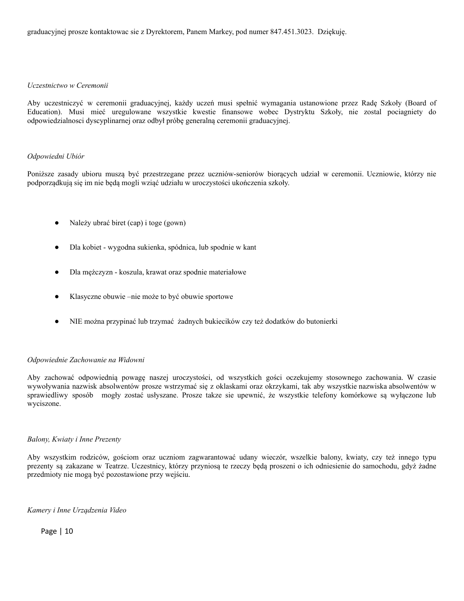#### *Uczestnictwo w Ceremonii*

Aby uczestniczyć w ceremonii graduacyjnej, każdy uczeń musi spełnić wymagania ustanowione przez Radę Szkoły (Board of Education). Musi mieć uregulowane wszystkie kwestie finansowe wobec Dystryktu Szkoły, nie zostal pociagniety do odpowiedzialnosci dyscyplinarnej oraz odbył próbę generalną ceremonii graduacyjnej.

### *Odpowiedni Ubiór*

Poniższe zasady ubioru muszą być przestrzegane przez uczniów-seniorów biorących udział w ceremonii. Uczniowie, którzy nie podporządkują się im nie będą mogli wziąć udziału w uroczystości ukończenia szkoły.

- Należy ubrać biret (cap) i toge (gown)
- Dla kobiet wygodna sukienka, spódnica, lub spodnie w kant
- Dla mężczyzn koszula, krawat oraz spodnie materiałowe
- Klasyczne obuwie –nie może to być obuwie sportowe
- NIE można przypinać lub trzymać żadnych bukiecików czy też dodatków do butonierki

# *Odpowiednie Zachowanie na Widowni*

Aby zachować odpowiednią powagę naszej uroczystości, od wszystkich gości oczekujemy stosownego zachowania. W czasie wywoływania nazwisk absolwentów prosze wstrzymać się z oklaskami oraz okrzykami, tak aby wszystkie nazwiska absolwentów w sprawiedliwy sposób mogły zostać usłyszane. Prosze takze sie upewnić, że wszystkie telefony komórkowe są wyłączone lub wyciszone.

#### *Balony, Kwiaty i Inne Prezenty*

Aby wszystkim rodziców, gościom oraz uczniom zagwarantować udany wieczór, wszelkie balony, kwiaty, czy też innego typu prezenty są zakazane w Teatrze. Uczestnicy, którzy przyniosą te rzeczy będą proszeni o ich odniesienie do samochodu, gdyż żadne przedmioty nie mogą być pozostawione przy wejściu.

*Kamery i Inne Urządzenia Video*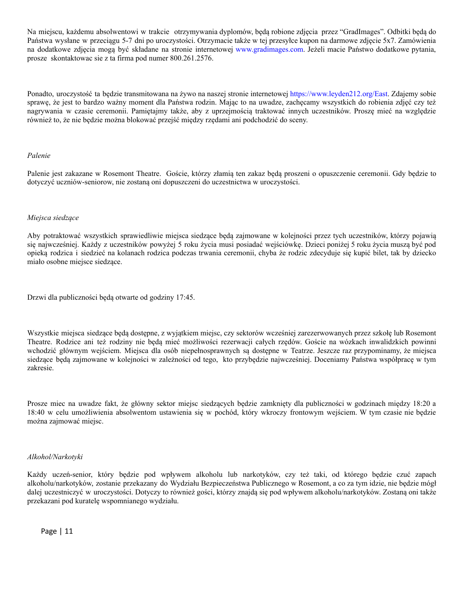Na miejscu, każdemu absolwentowi w trakcie otrzymywania dyplomów, będą robione zdjęcia przez "GradImages". Odbitki będą do Państwa wysłane w przeciągu 5-7 dni po uroczystości. Otrzymacie także w tej przesyłce kupon na darmowe zdjęcie 5x7. Zamówienia na dodatkowe zdjęcia mogą być składane na stronie internetowej [www.gradimages.com](http://www.gradimages.com/). Jeżeli macie Państwo dodatkowe pytania, prosze skontaktowac sie z ta firma pod numer 800.261.2576.

Ponadto, uroczystość ta będzie transmitowana na żywo na naszej stronie internetowej [https://www.leyden212.org/East.](https://www.leyden212.org/East) Zdajemy sobie sprawę, że jest to bardzo ważny moment dla Państwa rodzin. Mając to na uwadze, zachęcamy wszystkich do robienia zdjęć czy też nagrywania w czasie ceremonii. Pamiętajmy także, aby z uprzejmością traktować innych uczestników. Proszę mieć na względzie również to, że nie będzie można blokować przejść między rzędami ani podchodzić do sceny.

#### *Palenie*

Palenie jest zakazane w Rosemont Theatre. Goście, którzy złamią ten zakaz będą proszeni o opuszczenie ceremonii. Gdy będzie to dotyczyć uczniów-seniorow, nie zostaną oni dopuszczeni do uczestnictwa w uroczystości.

### *Miejsca siedzące*

Aby potraktować wszystkich sprawiedliwie miejsca siedzące będą zajmowane w kolejności przez tych uczestników, którzy pojawią się najwcześniej. Każdy z uczestników powyżej 5 roku życia musi posiadać wejściówkę. Dzieci poniżej 5 roku życia muszą być pod opieką rodzica i siedzieć na kolanach rodzica podczas trwania ceremonii, chyba że rodzic zdecyduje się kupić bilet, tak by dziecko miało osobne miejsce siedzące.

Drzwi dla publiczności będą otwarte od godziny 17:45.

Wszystkie miejsca siedzące będą dostępne, z wyjątkiem miejsc, czy sektorów wcześniej zarezerwowanych przez szkołę lub Rosemont Theatre. Rodzice ani też rodziny nie będą mieć możliwości rezerwacji całych rzędów. Goście na wózkach inwalidzkich powinni wchodzić głównym wejściem. Miejsca dla osób niepełnosprawnych są dostępne w Teatrze. Jeszcze raz przypominamy, że miejsca siedzące będą zajmowane w kolejności w zależności od tego, kto przybędzie najwcześniej. Doceniamy Państwa współpracę w tym zakresie.

Prosze miec na uwadze fakt, że główny sektor miejsc siedzących będzie zamknięty dla publiczności w godzinach między 18:20 a 18:40 w celu umożliwienia absolwentom ustawienia się w pochód, który wkroczy frontowym wejściem. W tym czasie nie będzie można zajmować miejsc.

#### *Alkohol/Narkotyki*

Każdy uczeń-senior, który będzie pod wpływem alkoholu lub narkotyków, czy też taki, od którego będzie czuć zapach alkoholu/narkotyków, zostanie przekazany do Wydziału Bezpieczeństwa Publicznego w Rosemont, a co za tym idzie, nie będzie mógł dalej uczestniczyć w uroczystości. Dotyczy to również gości, którzy znajdą się pod wpływem alkoholu/narkotyków. Zostaną oni także przekazani pod kuratelę wspomnianego wydziału.